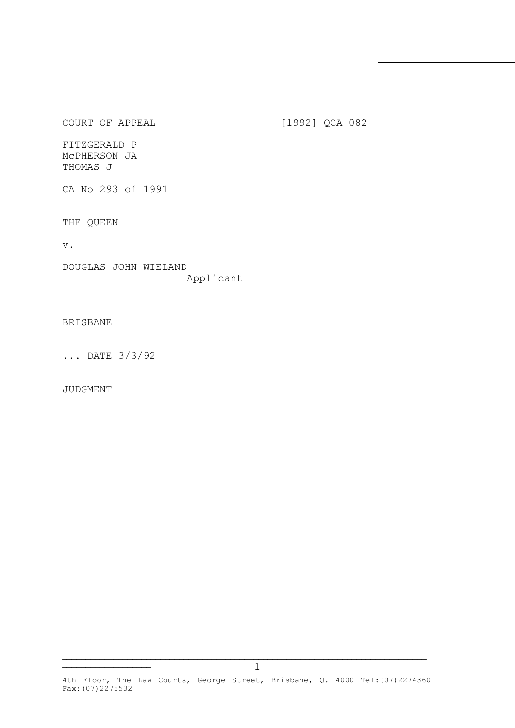COURT OF APPEAL [1992] QCA 082

FITZGERALD P McPHERSON JA THOMAS J

CA No 293 of 1991

THE QUEEN

v.

DOUGLAS JOHN WIELAND Applicant

## BRISBANE

... DATE 3/3/92

**\_\_\_\_\_\_\_\_\_\_\_\_\_\_\_\_\_\_\_**

JUDGMENT

**\_\_\_\_\_\_\_\_\_\_\_\_\_\_\_\_\_\_\_\_\_\_\_\_\_\_\_\_\_\_\_\_\_\_\_\_\_\_\_\_\_\_\_\_\_\_\_\_\_\_\_\_\_\_\_\_\_\_\_\_\_\_\_\_\_\_\_\_\_\_\_\_\_\_\_\_\_\_**

<sup>4</sup>th Floor, The Law Courts, George Street, Brisbane, Q. 4000 Tel:(07)2274360 Fax:(07)2275532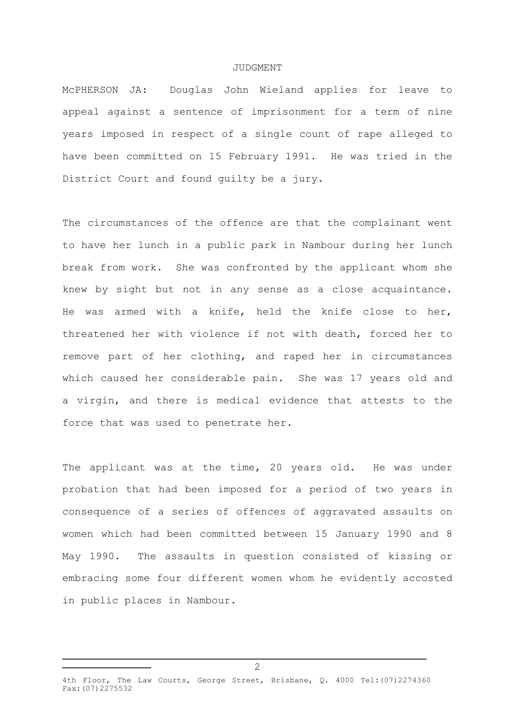## JUDGMENT

McPHERSON JA: Douglas John Wieland applies for leave to appeal against a sentence of imprisonment for a term of nine years imposed in respect of a single count of rape alleged to have been committed on 15 February 1991. He was tried in the District Court and found guilty be a jury.

The circumstances of the offence are that the complainant went to have her lunch in a public park in Nambour during her lunch break from work. She was confronted by the applicant whom she knew by sight but not in any sense as a close acquaintance. He was armed with a knife, held the knife close to her, threatened her with violence if not with death, forced her to remove part of her clothing, and raped her in circumstances which caused her considerable pain. She was 17 years old and a virgin, and there is medical evidence that attests to the force that was used to penetrate her.

The applicant was at the time, 20 years old. He was under probation that had been imposed for a period of two years in consequence of a series of offences of aggravated assaults on women which had been committed between 15 January 1990 and 8 May 1990. The assaults in question consisted of kissing or embracing some four different women whom he evidently accosted in public places in Nambour.

4th Floor, The Law Courts, George Street, Brisbane, Q. 4000 Tel: (07) 2274360 Fax:(07)2275532

**\_\_\_\_\_\_\_\_\_\_\_\_\_\_\_\_\_\_\_\_\_\_\_\_\_\_\_\_\_\_\_\_\_\_\_\_\_\_\_\_\_\_\_\_\_\_\_\_\_\_\_\_\_\_\_\_\_\_\_\_\_\_\_\_\_\_\_\_\_\_\_\_\_\_\_\_\_\_**

**\_\_\_\_\_\_\_\_\_\_\_\_\_\_\_\_\_\_\_**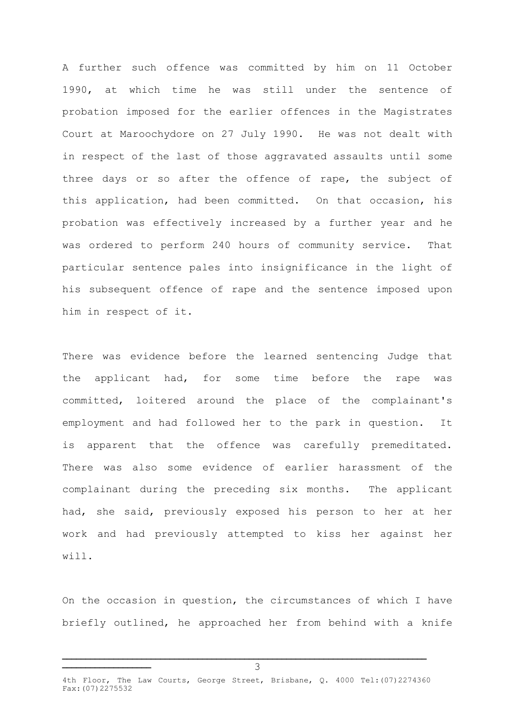A further such offence was committed by him on 11 October 1990, at which time he was still under the sentence of probation imposed for the earlier offences in the Magistrates Court at Maroochydore on 27 July 1990. He was not dealt with in respect of the last of those aggravated assaults until some three days or so after the offence of rape, the subject of this application, had been committed. On that occasion, his probation was effectively increased by a further year and he was ordered to perform 240 hours of community service. That particular sentence pales into insignificance in the light of his subsequent offence of rape and the sentence imposed upon him in respect of it.

There was evidence before the learned sentencing Judge that the applicant had, for some time before the rape was committed, loitered around the place of the complainant's employment and had followed her to the park in question. It is apparent that the offence was carefully premeditated. There was also some evidence of earlier harassment of the complainant during the preceding six months. The applicant had, she said, previously exposed his person to her at her work and had previously attempted to kiss her against her will.

On the occasion in question, the circumstances of which I have briefly outlined, he approached her from behind with a knife

**\_\_\_\_\_\_\_\_\_\_\_\_\_\_\_\_\_\_\_\_\_\_\_\_\_\_\_\_\_\_\_\_\_\_\_\_\_\_\_\_\_\_\_\_\_\_\_\_\_\_\_\_\_\_\_\_\_\_\_\_\_\_\_\_\_\_\_\_\_\_\_\_\_\_\_\_\_\_**

**\_\_\_\_\_\_\_\_\_\_\_\_\_\_\_\_\_\_\_**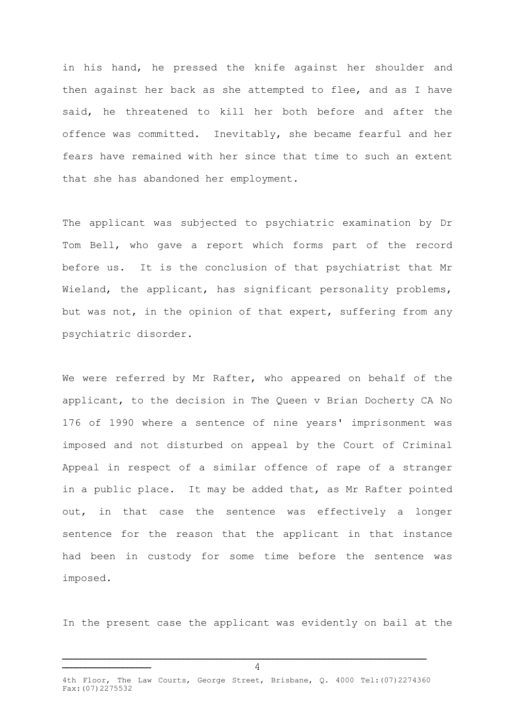in his hand, he pressed the knife against her shoulder and then against her back as she attempted to flee, and as I have said, he threatened to kill her both before and after the offence was committed. Inevitably, she became fearful and her fears have remained with her since that time to such an extent that she has abandoned her employment.

The applicant was subjected to psychiatric examination by Dr Tom Bell, who gave a report which forms part of the record before us. It is the conclusion of that psychiatrist that Mr Wieland, the applicant, has significant personality problems, but was not, in the opinion of that expert, suffering from any psychiatric disorder.

We were referred by Mr Rafter, who appeared on behalf of the applicant, to the decision in The Queen v Brian Docherty CA No 176 of 1990 where a sentence of nine years' imprisonment was imposed and not disturbed on appeal by the Court of Criminal Appeal in respect of a similar offence of rape of a stranger in a public place. It may be added that, as Mr Rafter pointed out, in that case the sentence was effectively a longer sentence for the reason that the applicant in that instance had been in custody for some time before the sentence was imposed.

In the present case the applicant was evidently on bail at the

**\_\_\_\_\_\_\_\_\_\_\_\_\_\_\_\_\_\_\_\_\_\_\_\_\_\_\_\_\_\_\_\_\_\_\_\_\_\_\_\_\_\_\_\_\_\_\_\_\_\_\_\_\_\_\_\_\_\_\_\_\_\_\_\_\_\_\_\_\_\_\_\_\_\_\_\_\_\_**

**\_\_\_\_\_\_\_\_\_\_\_\_\_\_\_\_\_\_\_**